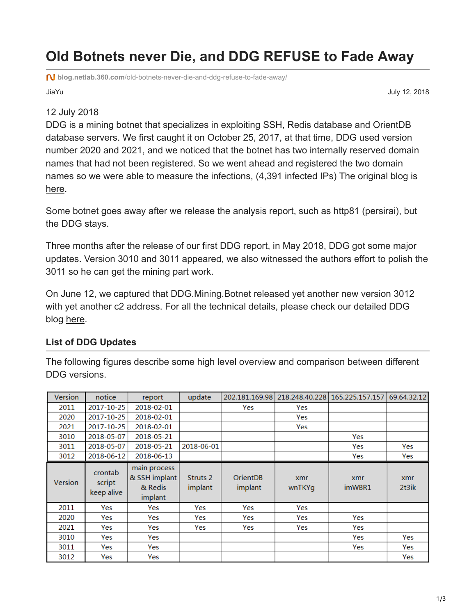## **Old Botnets never Die, and DDG REFUSE to Fade Away**

**blog.netlab.360.com**[/old-botnets-never-die-and-ddg-refuse-to-fade-away/](https://blog.netlab.360.com/old-botnets-never-die-and-ddg-refuse-to-fade-away/)

JiaYu July 12, 2018

## 12 July 2018

DDG is a mining botnet that specializes in exploiting SSH, Redis database and OrientDB database servers. We first caught it on October 25, 2017, at that time, DDG used version number 2020 and 2021, and we noticed that the botnet has two internally reserved domain names that had not been registered. So we went ahead and registered the two domain names so we were able to measure the infections, (4,391 infected IPs) The original blog is [here](https://blog.netlab.360.com/ddg-a-mining-botnet-aiming-at-database-server/).

Some botnet goes away after we release the analysis report, such as http81 (persirai), but the DDG stays.

Three months after the release of our first DDG report, in May 2018, DDG got some major updates. Version 3010 and 3011 appeared, we also witnessed the authors effort to polish the 3011 so he can get the mining part work.

On June 12, we captured that DDG.Mining.Botnet released yet another new version 3012 with yet another c2 address. For all the technical details, please check our detailed DDG blog [here](https://blog.netlab.360.com/ddg-mining-botnet-jin-qi-huo-dong-fen-xi/).

## **List of DDG Updates**

The following figures describe some high level overview and comparison between different DDG versions.

| Version        | notice                          | report                                              | update                         | 202.181.169.98             | 218.248.40.228 | 165.225.157.157 | 69.64.32.12  |
|----------------|---------------------------------|-----------------------------------------------------|--------------------------------|----------------------------|----------------|-----------------|--------------|
| 2011           | 2017-10-25                      | 2018-02-01                                          |                                | Yes                        | Yes            |                 |              |
| 2020           | 2017-10-25                      | 2018-02-01                                          |                                |                            | Yes            |                 |              |
| 2021           | 2017-10-25                      | 2018-02-01                                          |                                |                            | Yes            |                 |              |
| 3010           | 2018-05-07                      | 2018-05-21                                          |                                |                            |                | Yes             |              |
| 3011           | 2018-05-07                      | 2018-05-21                                          | 2018-06-01                     |                            |                | Yes             | Yes          |
| 3012           | 2018-06-12                      | 2018-06-13                                          |                                |                            |                | Yes             | Yes          |
| <b>Version</b> | crontab<br>script<br>keep alive | main process<br>& SSH implant<br>& Redis<br>implant | Struts <sub>2</sub><br>implant | <b>OrientDB</b><br>implant | xmr<br>wnTKYg  | xmr<br>imWBR1   | xmr<br>2t3ik |
| 2011           | Yes                             | Yes                                                 | Yes                            | Yes                        | Yes            |                 |              |
| 2020           | Yes                             | Yes                                                 | Yes                            | Yes                        | Yes            | Yes             |              |
| 2021           | Yes                             | Yes                                                 | Yes                            | Yes                        | Yes            | Yes             |              |
| 3010           | Yes                             | Yes                                                 |                                |                            |                | Yes             | Yes          |
| 3011           | Yes                             | Yes                                                 |                                |                            |                | Yes             | Yes          |
| 3012           | Yes                             | Yes                                                 |                                |                            |                |                 | Yes          |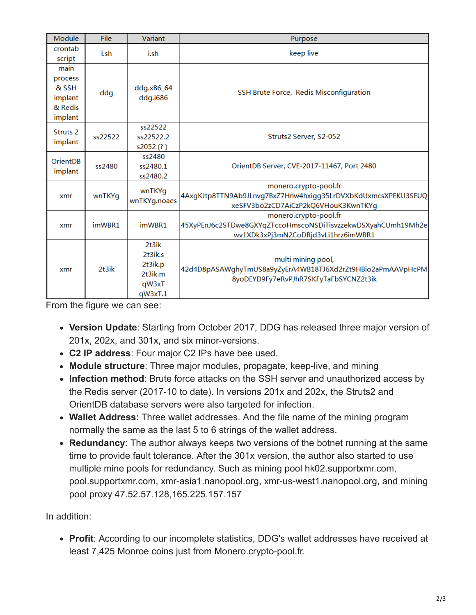| Module                                                    | File    | Variant                                                      | Purpose                                                                                                                      |  |
|-----------------------------------------------------------|---------|--------------------------------------------------------------|------------------------------------------------------------------------------------------------------------------------------|--|
| crontab<br>script                                         | i.sh    | i.sh                                                         | keep live                                                                                                                    |  |
| main<br>process<br>& SSH<br>implant<br>& Redis<br>implant | ddg     | ddg.x86_64<br>ddg.i686                                       | SSH Brute Force, Redis Misconfiguration                                                                                      |  |
| Struts <sub>2</sub><br>implant                            | ss22522 | ss22522<br>ss22522.2<br>s2052(?)                             | Struts2 Server, S2-052                                                                                                       |  |
| <b>OrientDB</b><br>implant                                | ss2480  | ss2480<br>ss2480.1<br>ss2480.2                               | OrientDB Server, CVE-2017-11467, Port 2480                                                                                   |  |
| xmr                                                       | wnTKYg  | wnTKYq<br>wnTKYg.noaes                                       | monero.crypto-pool.fr<br>4AxgKJtp8TTN9Ab9JLnvg7BxZ7Hnw4hxigg35LrDVXbKdUxmcsXPEKU3SEUQ<br>xeSFV3bo2zCD7AiCzP2kQ6VHouK3KwnTKYg |  |
| xmr                                                       | imWBR1  | imWBR1                                                       | monero.crypto-pool.fr<br>45XyPEnJ6c2STDwe8GXYqZTccoHmscoNSDiTisvzzekwDSXyahCUmh19Mh2e<br>wv1XDk3xPj3mN2CoDRjd3vLi1hrz6imWBR1 |  |
| xmr                                                       | 2t3ik   | $2+3ik$<br>2t3ik.s<br>2t3ik.p<br>2t3ik.m<br>qW3xT<br>qW3xT.1 | multi mining pool,<br>42d4D8pASAWghyTmUS8a9yZyErA4WB18TJ6Xd2rZt9HBio2aPmAAVpHcPM<br>8yoDEYD9Fy7eRvPJhR7SKFyTaFbSYCNZ2t3ik    |  |

From the figure we can see:

- **Version Update**: Starting from October 2017, DDG has released three major version of 201x, 202x, and 301x, and six minor-versions.
- **C2 IP address**: Four major C2 IPs have bee used.
- **Module structure**: Three major modules, propagate, keep-live, and mining
- **Infection method**: Brute force attacks on the SSH server and unauthorized access by the Redis server (2017-10 to date). In versions 201x and 202x, the Struts2 and OrientDB database servers were also targeted for infection.
- **Wallet Address**: Three wallet addresses. And the file name of the mining program normally the same as the last 5 to 6 strings of the wallet address.
- **Redundancy**: The author always keeps two versions of the botnet running at the same time to provide fault tolerance. After the 301x version, the author also started to use multiple mine pools for redundancy. Such as mining pool hk02.supportxmr.com, pool.supportxmr.com, xmr-asia1.nanopool.org, xmr-us-west1.nanopool.org, and mining pool proxy 47.52.57.128,165.225.157.157

In addition:

**Profit**: According to our incomplete statistics, DDG's wallet addresses have received at least 7,425 Monroe coins just from Monero.crypto-pool.fr.